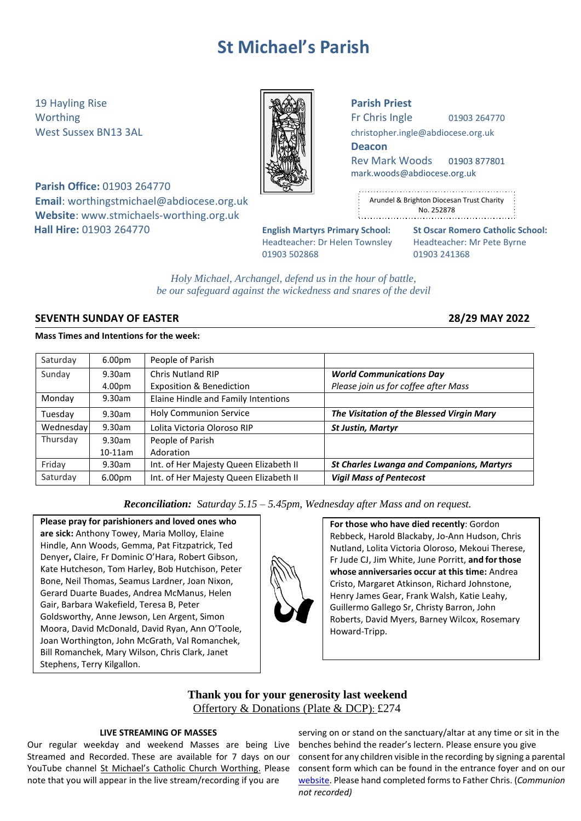# **St Michael's Parish**

19 Hayling Rise **Parish Priest**

**Parish Office:** 01903 264770 **Email**: [worthingstmichael@abdiocese.org.uk](mailto:worthingstmichael@abdiocese.org.uk) **Website**: [www.stmichaels-worthing.org.uk](http://www.stmichaels-worthing.org.uk/) **Hall Hire:** 01903 264770 **English Martyrs Primary School: St Oscar Romero Catholic School:**

Worthing  $\parallel$   $\parallel$   $\parallel$   $\parallel$   $\parallel$  Fr Chris Ingle 01903 264770

West Sussex BN13 3AL **[christopher.ingle@abdiocese.org.uk](mailto:christopher.ingle@abdiocese.org.uk)** | **christopher.ingle@abdiocese.org.uk** 

**Deacon**

Rev Mark Woods 01903 877801 [mark.woods@abdiocese.org.uk](mailto:mark.woods@abdiocese.org.uk)

| ٠                                                          |
|------------------------------------------------------------|
| $\frac{1}{2}$<br>Arundel & Brighton Diocesan Trust Charity |
| ٠<br>No. 252878<br>٠<br>$\blacksquare$                     |
|                                                            |

Headteacher: Dr Helen Townsley Headteacher: Mr Pete Byrne 01903 502868 01903 241368

*Holy Michael, Archangel, defend us in the hour of battle, be our safeguard against the wickedness and snares of the devil*

# **SEVENTH SUNDAY OF EASTER 28/29 MAY 2022**

# **Mass Times and Intentions for the week:**

| Saturday  | 6.00 <sub>pm</sub> | People of Parish                       |                                                  |
|-----------|--------------------|----------------------------------------|--------------------------------------------------|
| Sunday    | 9.30am             | <b>Chris Nutland RIP</b>               | <b>World Communications Day</b>                  |
|           | 4.00pm             | <b>Exposition &amp; Benediction</b>    | Please join us for coffee after Mass             |
| Monday    | $9.30$ am          | Elaine Hindle and Family Intentions    |                                                  |
| Tuesday   | 9.30am             | <b>Holy Communion Service</b>          | The Visitation of the Blessed Virgin Mary        |
| Wednesday | 9.30am             | Lolita Victoria Oloroso RIP            | <b>St Justin, Martyr</b>                         |
| Thursday  | 9.30am             | People of Parish                       |                                                  |
|           | $10-11$ am         | Adoration                              |                                                  |
| Friday    | 9.30am             | Int. of Her Majesty Queen Elizabeth II | <b>St Charles Lwanga and Companions, Martyrs</b> |
| Saturday  | 6.00pm             | Int. of Her Majesty Queen Elizabeth II | <b>Vigil Mass of Pentecost</b>                   |

*Reconciliation: Saturday 5.15 – 5.45pm, Wednesday after Mass and on request.*

**Please pray for parishioners and loved ones who are sick:** Anthony Towey, Maria Molloy, Elaine Hindle, Ann Woods, Gemma, Pat Fitzpatrick, Ted Denyer**,** Claire, Fr Dominic O'Hara, Robert Gibson, Kate Hutcheson, Tom Harley, Bob Hutchison, Peter Bone, Neil Thomas, Seamus Lardner, Joan Nixon, Gerard Duarte Buades, Andrea McManus, Helen Gair, Barbara Wakefield, Teresa B, Peter Goldsworthy, Anne Jewson, Len Argent, Simon Moora, David McDonald, David Ryan, Ann O'Toole, Joan Worthington, John McGrath, Val Romanchek, Bill Romanchek, Mary Wilson, Chris Clark, Janet Stephens, Terry Kilgallon.

**For those who have died recently**: Gordon Rebbeck, Harold Blackaby, Jo-Ann Hudson, Chris Nutland, Lolita Victoria Oloroso, Mekoui Therese, Fr Jude CJ, Jim White, June Porritt, **and forthose whose anniversaries occur at this time:** Andrea Cristo, Margaret Atkinson, Richard Johnstone, Henry James Gear, Frank Walsh, Katie Leahy, Guillermo Gallego Sr, Christy Barron, John Roberts, David Myers, Barney Wilcox, Rosemary Howard-Tripp.

# **Thank you for your generosity last weekend** Offertory & Donations (Plate & DCP): £274

# **LIVE STREAMING OF MASSES**

Our regular weekday and weekend Masses are being Live Streamed and Recorded. These are available for 7 days on our YouTube channel [St Michael's Catholic Church Worthing](https://www.youtube.com/channel/UCJbxYiC8NIvWP1CZ6Ate-fA/videos). Please note that you will appear in the live stream/recording if you are

serving on or stand on the sanctuary/altar at any time or sit in the benches behind the reader's lectern. Please ensure you give consent for any children visible in the recording by signing a parental consent form which can be found in the entrance foyer and on our [website.](https://www.stmichaels-worthing.org.uk/Groups/161112/St_Michaels_Worthing/Parish_News/Parish_News.aspx) Please hand completed forms to Father Chris. (*Communion not recorded)*